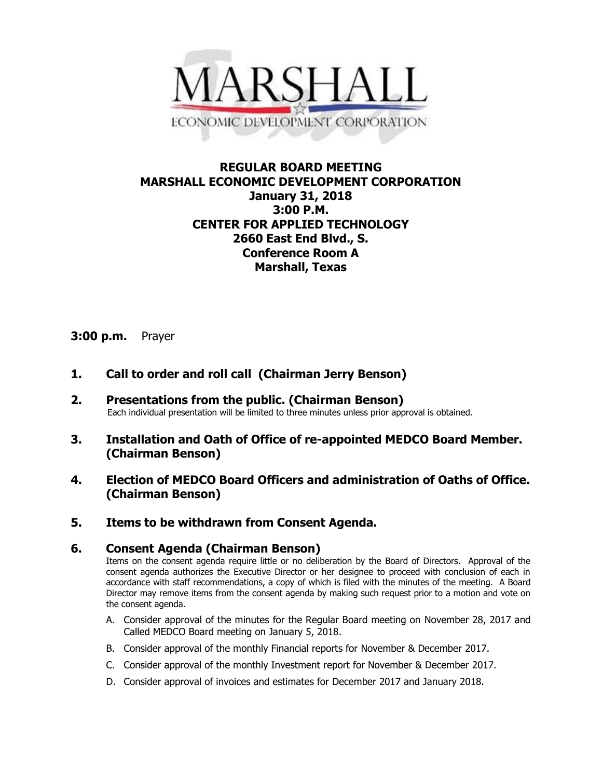

# **REGULAR BOARD MEETING MARSHALL ECONOMIC DEVELOPMENT CORPORATION January 31, 2018 3:00 P.M. CENTER FOR APPLIED TECHNOLOGY 2660 East End Blvd., S. Conference Room A Marshall, Texas**

## **3:00 p.m.** Prayer

- **1. Call to order and roll call (Chairman Jerry Benson)**
- **2. Presentations from the public. (Chairman Benson)** Each individual presentation will be limited to three minutes unless prior approval is obtained.
- **3. Installation and Oath of Office of re-appointed MEDCO Board Member. (Chairman Benson)**
- **4. Election of MEDCO Board Officers and administration of Oaths of Office. (Chairman Benson)**
- **5. Items to be withdrawn from Consent Agenda.**

### **6. Consent Agenda (Chairman Benson)**

Items on the consent agenda require little or no deliberation by the Board of Directors. Approval of the consent agenda authorizes the Executive Director or her designee to proceed with conclusion of each in accordance with staff recommendations, a copy of which is filed with the minutes of the meeting. A Board Director may remove items from the consent agenda by making such request prior to a motion and vote on the consent agenda.

- A. Consider approval of the minutes for the Regular Board meeting on November 28, 2017 and Called MEDCO Board meeting on January 5, 2018.
- B. Consider approval of the monthly Financial reports for November & December 2017.
- C. Consider approval of the monthly Investment report for November & December 2017.
- D. Consider approval of invoices and estimates for December 2017 and January 2018.